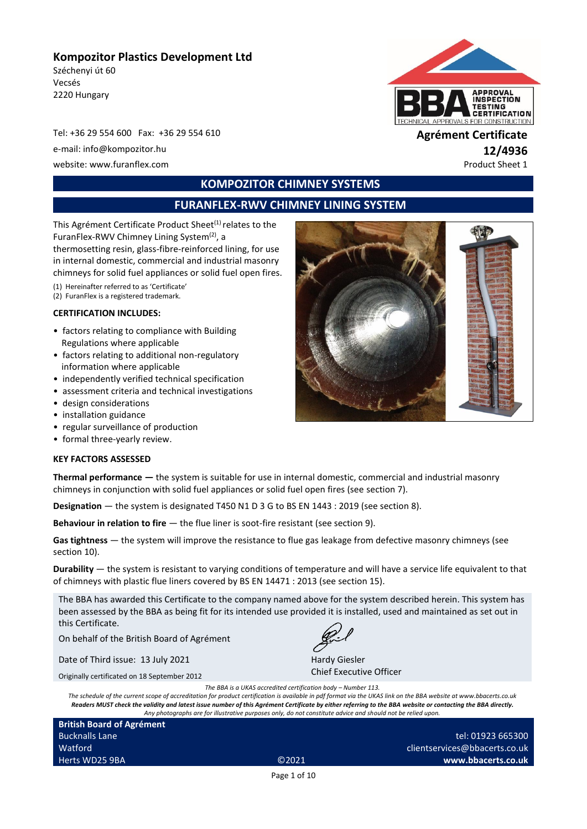### **Kompozitor Plastics Development Ltd**

Széchenyi út 60 Vecsés 2220 Hungary

Tel: +36 29 554 600 Fax: +36 29 554 610 **Agrément Certificate** e-mail: info@kompozitor.hu **12/4936** website: www.furanflex.com example of the example of the example of the example of the example of the example of the example of the example of the example of the example of the example of the example of the example of the



# **KOMPOZITOR CHIMNEY SYSTEMS**

# **FURANFLEX-RWV CHIMNEY LINING SYSTEM**

This Agrément Certificate Product Sheet<sup>(1)</sup> relates to the FuranFlex-RWV Chimney Lining System<sup>(2)</sup>, a thermosetting resin, glass-fibre-reinforced lining, for use in internal domestic, commercial and industrial masonry chimneys for solid fuel appliances or solid fuel open fires.

(1) Hereinafter referred to as 'Certificate'

# (2) FuranFlex is a registered trademark.

#### **CERTIFICATION INCLUDES:**

- factors relating to compliance with Building Regulations where applicable
- factors relating to additional non-regulatory information where applicable
- independently verified technical specification
- assessment criteria and technical investigations
- design considerations
- installation guidance
- regular surveillance of production
- formal three-yearly review.

#### **KEY FACTORS ASSESSED**

**Thermal performance —** the system is suitable for use in internal domestic, commercial and industrial masonry chimneys in conjunction with solid fuel appliances or solid fuel open fires (see section 7).

**Designation** — the system is designated T450 N1 D 3 G to BS EN 1443 : 2019 (see section 8).

**Behaviour in relation to fire** — the flue liner is soot-fire resistant (see section 9).

**Gas tightness** — the system will improve the resistance to flue gas leakage from defective masonry chimneys (see section 10).

**Durability** — the system is resistant to varying conditions of temperature and will have a service life equivalent to that of chimneys with plastic flue liners covered by BS EN 14471 : 2013 (see section 15).

The BBA has awarded this Certificate to the company named above for the system described herein. This system has been assessed by the BBA as being fit for its intended use provided it is installed, used and maintained as set out in this Certificate.

On behalf of the British Board of Agrément

Date of Third issue: 13 July 2021

Originally certificated on 18 September 2012

Hardy Giesler Chief Executive Officer

*The BBA is a UKAS accredited certification body – Number 113. The schedule of the current scope of accreditation for product certification is available in pdf format via the UKAS link on the BBA website at www.bbacerts.co.uk Readers MUST check the validity and latest issue number of this Agrément Certificate by either referring to the BBA website or contacting the BBA directly. Any photographs are for illustrative purposes only, do not constitute advice and should not be relied upon.*

| <b>British Board of Agrément</b> |                   |
|----------------------------------|-------------------|
| <b>Bucknalls Lane</b>            |                   |
| Watford                          |                   |
| Herts WD25 9BA                   | C <sub>2021</sub> |

tel: 01923 665300 clientservices@bbacerts.co.uk **www.bbacerts.co.uk**

Page 1 of 10

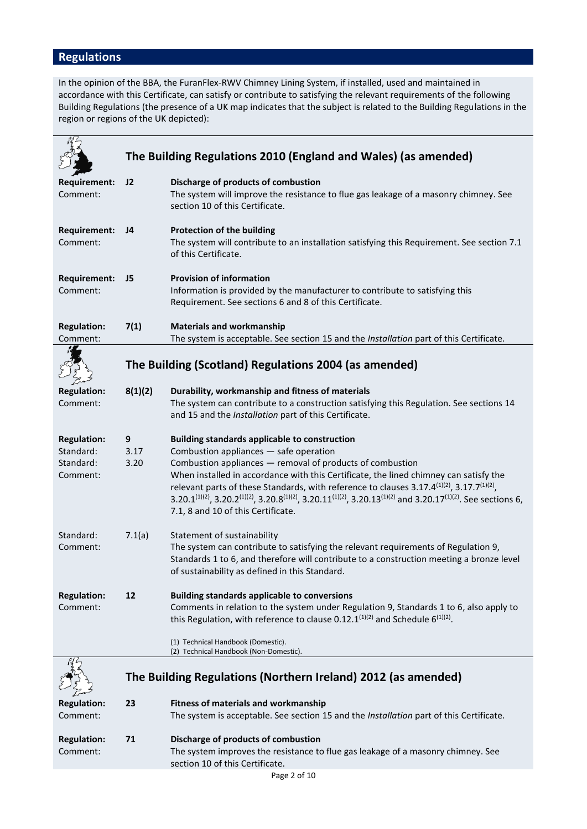# **Regulations**

In the opinion of the BBA, the FuranFlex-RWV Chimney Lining System, if installed, used and maintained in accordance with this Certificate, can satisfy or contribute to satisfying the relevant requirements of the following Building Regulations (the presence of a UK map indicates that the subject is related to the Building Regulations in the region or regions of the UK depicted):

|                                                          |                   | The Building Regulations 2010 (England and Wales) (as amended)                                                                                                                                                                                                                                                                                                                                                                                                                                                                                                                                             |
|----------------------------------------------------------|-------------------|------------------------------------------------------------------------------------------------------------------------------------------------------------------------------------------------------------------------------------------------------------------------------------------------------------------------------------------------------------------------------------------------------------------------------------------------------------------------------------------------------------------------------------------------------------------------------------------------------------|
| <b>Requirement:</b><br>Comment:                          | J2                | Discharge of products of combustion<br>The system will improve the resistance to flue gas leakage of a masonry chimney. See<br>section 10 of this Certificate.                                                                                                                                                                                                                                                                                                                                                                                                                                             |
| <b>Requirement:</b><br>Comment:                          | J4                | <b>Protection of the building</b><br>The system will contribute to an installation satisfying this Requirement. See section 7.1<br>of this Certificate.                                                                                                                                                                                                                                                                                                                                                                                                                                                    |
| Requirement:<br>Comment:                                 | J <sub>5</sub>    | <b>Provision of information</b><br>Information is provided by the manufacturer to contribute to satisfying this<br>Requirement. See sections 6 and 8 of this Certificate.                                                                                                                                                                                                                                                                                                                                                                                                                                  |
| <b>Regulation:</b><br>Comment:                           | 7(1)              | <b>Materials and workmanship</b><br>The system is acceptable. See section 15 and the Installation part of this Certificate.                                                                                                                                                                                                                                                                                                                                                                                                                                                                                |
|                                                          |                   | The Building (Scotland) Regulations 2004 (as amended)                                                                                                                                                                                                                                                                                                                                                                                                                                                                                                                                                      |
| <b>Regulation:</b><br>Comment:                           | 8(1)(2)           | Durability, workmanship and fitness of materials<br>The system can contribute to a construction satisfying this Regulation. See sections 14<br>and 15 and the Installation part of this Certificate.                                                                                                                                                                                                                                                                                                                                                                                                       |
| <b>Regulation:</b><br>Standard:<br>Standard:<br>Comment: | 9<br>3.17<br>3.20 | <b>Building standards applicable to construction</b><br>Combustion appliances - safe operation<br>Combustion appliances - removal of products of combustion<br>When installed in accordance with this Certificate, the lined chimney can satisfy the<br>relevant parts of these Standards, with reference to clauses 3.17.4 <sup>(1)(2)</sup> , 3.17.7 <sup>(1)(2)</sup> ,<br>3.20.1 <sup>(1)(2)</sup> , 3.20.2 <sup>(1)(2)</sup> , 3.20.8 <sup>(1)(2)</sup> , 3.20.11 <sup>(1)(2)</sup> , 3.20.13 <sup>(1)(2)</sup> and 3.20.17 <sup>(1)(2)</sup> . See sections 6,<br>7.1, 8 and 10 of this Certificate. |
| Standard:<br>Comment:                                    | 7.1(a)            | Statement of sustainability<br>The system can contribute to satisfying the relevant requirements of Regulation 9,<br>Standards 1 to 6, and therefore will contribute to a construction meeting a bronze level<br>of sustainability as defined in this Standard.                                                                                                                                                                                                                                                                                                                                            |
| <b>Regulation:</b><br>Comment:                           | 12                | <b>Building standards applicable to conversions</b><br>Comments in relation to the system under Regulation 9, Standards 1 to 6, also apply to<br>this Regulation, with reference to clause 0.12.1 <sup>(1)(2)</sup> and Schedule $6^{(1)(2)}$ .<br>(1) Technical Handbook (Domestic).<br>(2) Technical Handbook (Non-Domestic).                                                                                                                                                                                                                                                                            |
|                                                          |                   | The Building Regulations (Northern Ireland) 2012 (as amended)                                                                                                                                                                                                                                                                                                                                                                                                                                                                                                                                              |
| <b>Regulation:</b><br>Comment:                           | 23                | <b>Fitness of materials and workmanship</b><br>The system is acceptable. See section 15 and the Installation part of this Certificate.                                                                                                                                                                                                                                                                                                                                                                                                                                                                     |
| <b>Regulation:</b><br>Comment:                           | 71                | Discharge of products of combustion<br>The system improves the resistance to flue gas leakage of a masonry chimney. See<br>section 10 of this Certificate.                                                                                                                                                                                                                                                                                                                                                                                                                                                 |
|                                                          |                   | Page 2 of 10                                                                                                                                                                                                                                                                                                                                                                                                                                                                                                                                                                                               |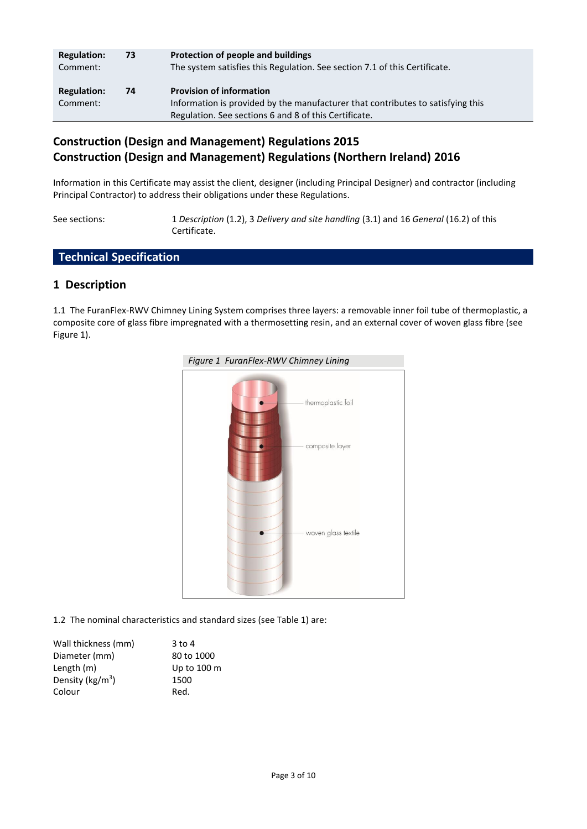| <b>Regulation:</b><br>Comment: | 73 | Protection of people and buildings<br>The system satisfies this Regulation. See section 7.1 of this Certificate.                                                            |
|--------------------------------|----|-----------------------------------------------------------------------------------------------------------------------------------------------------------------------------|
| <b>Regulation:</b><br>Comment: | 74 | <b>Provision of information</b><br>Information is provided by the manufacturer that contributes to satisfying this<br>Regulation. See sections 6 and 8 of this Certificate. |

# **Construction (Design and Management) Regulations 2015 Construction (Design and Management) Regulations (Northern Ireland) 2016**

Information in this Certificate may assist the client, designer (including Principal Designer) and contractor (including Principal Contractor) to address their obligations under these Regulations.

See sections: 1 *Description* (1.2), 3 *Delivery and site handling* (3.1) and 16 *General* (16.2) of this Certificate.

# **Technical Specification**

#### **1 Description**

1.1 The FuranFlex-RWV Chimney Lining System comprises three layers: a removable inner foil tube of thermoplastic, a composite core of glass fibre impregnated with a thermosetting resin, and an external cover of woven glass fibre (see Figure 1).



1.2 The nominal characteristics and standard sizes (see Table 1) are:

| Wall thickness (mm) | $3$ to 4    |
|---------------------|-------------|
| Diameter (mm)       | 80 to 1000  |
| Length (m)          | Up to 100 m |
| Density ( $kg/m3$ ) | 1500        |
| Colour              | Red.        |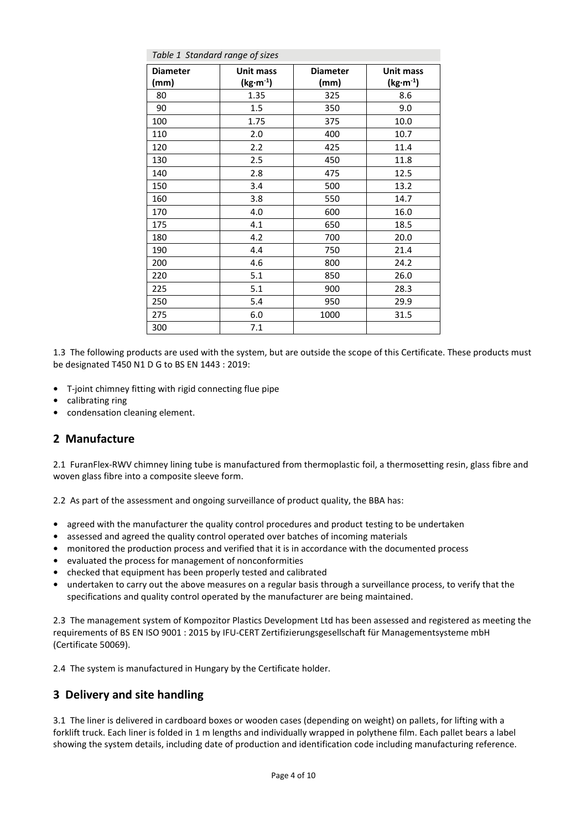| Table 1 Standard range of sizes |            |                 |                       |
|---------------------------------|------------|-----------------|-----------------------|
| <b>Diameter</b>                 | Unit mass  | <b>Diameter</b> | Unit mass             |
| (mm)                            | $(kg·m-1)$ | (mm)            | (kg·m <sup>-1</sup> ) |
| 80                              | 1.35       | 325             | 8.6                   |
| 90                              | 1.5        | 350             | 9.0                   |
| 100                             | 1.75       | 375             | 10.0                  |
| 110                             | 2.0        | 400             | 10.7                  |
| 120                             | 2.2        | 425             | 11.4                  |
| 130                             | 2.5        | 450             | 11.8                  |
| 140                             | 2.8        | 475             | 12.5                  |
| 150                             | 3.4        | 500             | 13.2                  |
| 160                             | 3.8        | 550             | 14.7                  |
| 170                             | 4.0        | 600             | 16.0                  |
| 175                             | 4.1        | 650             | 18.5                  |
| 180                             | 4.2        | 700             | 20.0                  |
| 190                             | 4.4        | 750             | 21.4                  |
| 200                             | 4.6        | 800             | 24.2                  |
| 220                             | 5.1        | 850             | 26.0                  |
| 225                             | 5.1        | 900             | 28.3                  |
| 250                             | 5.4        | 950             | 29.9                  |
| 275                             | 6.0        | 1000            | 31.5                  |
| 300                             | 7.1        |                 |                       |

1.3 The following products are used with the system, but are outside the scope of this Certificate. These products must be designated T450 N1 D G to BS EN 1443 : 2019:

- **•** T-joint chimney fitting with rigid connecting flue pipe
- **•** calibrating ring
- **•** condensation cleaning element.

### **2 Manufacture**

2.1 FuranFlex-RWV chimney lining tube is manufactured from thermoplastic foil, a thermosetting resin, glass fibre and woven glass fibre into a composite sleeve form.

2.2 As part of the assessment and ongoing surveillance of product quality, the BBA has:

- **•** agreed with the manufacturer the quality control procedures and product testing to be undertaken
- **•** assessed and agreed the quality control operated over batches of incoming materials
- **•** monitored the production process and verified that it is in accordance with the documented process
- **•** evaluated the process for management of nonconformities
- **•** checked that equipment has been properly tested and calibrated
- **•** undertaken to carry out the above measures on a regular basis through a surveillance process, to verify that the specifications and quality control operated by the manufacturer are being maintained.

2.3 The management system of Kompozitor Plastics Development Ltd has been assessed and registered as meeting the requirements of BS EN ISO 9001 : 2015 by IFU-CERT Zertifizierungsgesellschaft für Managementsysteme mbH (Certificate 50069).

2.4 The system is manufactured in Hungary by the Certificate holder.

### **3 Delivery and site handling**

3.1 The liner is delivered in cardboard boxes or wooden cases (depending on weight) on pallets, for lifting with a forklift truck. Each liner is folded in 1 m lengths and individually wrapped in polythene film. Each pallet bears a label showing the system details, including date of production and identification code including manufacturing reference.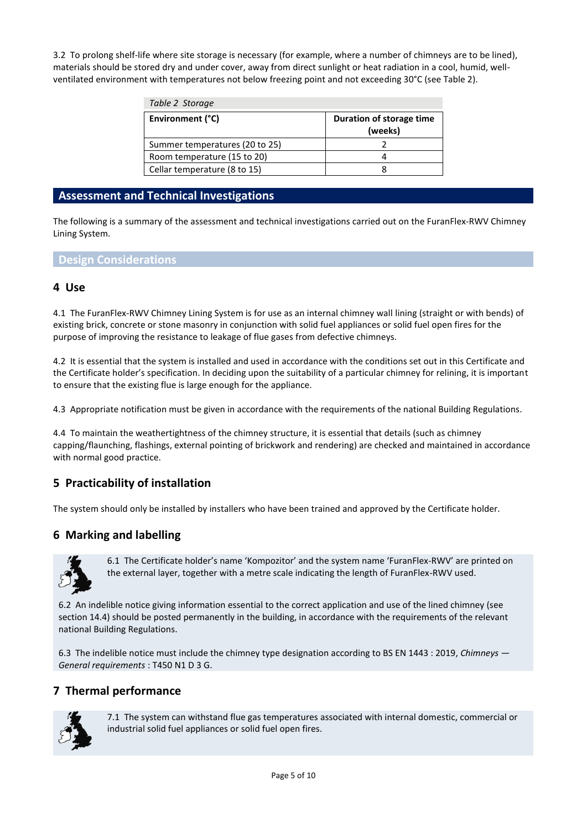3.2 To prolong shelf-life where site storage is necessary (for example, where a number of chimneys are to be lined), materials should be stored dry and under cover, away from direct sunlight or heat radiation in a cool, humid, wellventilated environment with temperatures not below freezing point and not exceeding 30°C (see Table 2).

| Table 2 Storage                |                                     |
|--------------------------------|-------------------------------------|
| Environment (°C)               | Duration of storage time<br>(weeks) |
| Summer temperatures (20 to 25) |                                     |
| Room temperature (15 to 20)    |                                     |
| Cellar temperature (8 to 15)   |                                     |

#### **Assessment and Technical Investigations**

The following is a summary of the assessment and technical investigations carried out on the FuranFlex-RWV Chimney Lining System.

#### **Design Considerations**

#### **4 Use**

4.1 The FuranFlex-RWV Chimney Lining System is for use as an internal chimney wall lining (straight or with bends) of existing brick, concrete or stone masonry in conjunction with solid fuel appliances or solid fuel open fires for the purpose of improving the resistance to leakage of flue gases from defective chimneys.

4.2 It is essential that the system is installed and used in accordance with the conditions set out in this Certificate and the Certificate holder's specification. In deciding upon the suitability of a particular chimney for relining, it is important to ensure that the existing flue is large enough for the appliance.

4.3 Appropriate notification must be given in accordance with the requirements of the national Building Regulations.

4.4 To maintain the weathertightness of the chimney structure, it is essential that details (such as chimney capping/flaunching, flashings, external pointing of brickwork and rendering) are checked and maintained in accordance with normal good practice.

### **5 Practicability of installation**

The system should only be installed by installers who have been trained and approved by the Certificate holder.

#### **6 Marking and labelling**



6.1 The Certificate holder's name 'Kompozitor' and the system name 'FuranFlex-RWV' are printed on the external layer, together with a metre scale indicating the length of FuranFlex-RWV used.

6.2 An indelible notice giving information essential to the correct application and use of the lined chimney (see section 14.4) should be posted permanently in the building, in accordance with the requirements of the relevant national Building Regulations.

6.3 The indelible notice must include the chimney type designation according to BS EN 1443 : 2019, *Chimneys — General requirements* : T450 N1 D 3 G.

#### **7 Thermal performance**



7.1 The system can withstand flue gas temperatures associated with internal domestic, commercial or industrial solid fuel appliances or solid fuel open fires.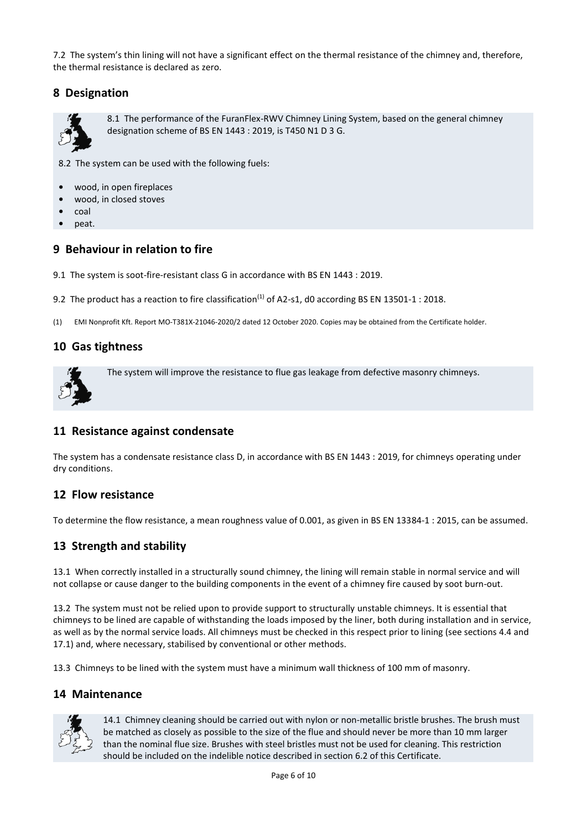7.2 The system's thin lining will not have a significant effect on the thermal resistance of the chimney and, therefore, the thermal resistance is declared as zero.

### **8 Designation**



8.1 The performance of the FuranFlex-RWV Chimney Lining System, based on the general chimney designation scheme of BS EN 1443 : 2019, is T450 N1 D 3 G.

8.2 The system can be used with the following fuels:

- **•** wood, in open fireplaces
- **•** wood, in closed stoves
- **•** coal
- **•** peat.

#### **9 Behaviour in relation to fire**

- 9.1 The system is soot-fire-resistant class G in accordance with BS EN 1443 : 2019.
- 9.2 The product has a reaction to fire classification<sup>(1)</sup> of A2-s1, d0 according BS EN 13501-1 : 2018.
- (1) EMI Nonprofit Kft. Report MO-T381X-21046-2020/2 dated 12 October 2020. Copies may be obtained from the Certificate holder.

#### **10 Gas tightness**



The system will improve the resistance to flue gas leakage from defective masonry chimneys.

### **11 Resistance against condensate**

The system has a condensate resistance class D, in accordance with BS EN 1443 : 2019, for chimneys operating under dry conditions.

#### **12 Flow resistance**

To determine the flow resistance, a mean roughness value of 0.001, as given in BS EN 13384-1 : 2015, can be assumed.

### **13 Strength and stability**

13.1 When correctly installed in a structurally sound chimney, the lining will remain stable in normal service and will not collapse or cause danger to the building components in the event of a chimney fire caused by soot burn-out.

13.2 The system must not be relied upon to provide support to structurally unstable chimneys. It is essential that chimneys to be lined are capable of withstanding the loads imposed by the liner, both during installation and in service, as well as by the normal service loads. All chimneys must be checked in this respect prior to lining (see sections 4.4 and 17.1) and, where necessary, stabilised by conventional or other methods.

13.3 Chimneys to be lined with the system must have a minimum wall thickness of 100 mm of masonry.

#### **14 Maintenance**



14.1 Chimney cleaning should be carried out with nylon or non-metallic bristle brushes. The brush must be matched as closely as possible to the size of the flue and should never be more than 10 mm larger than the nominal flue size. Brushes with steel bristles must not be used for cleaning. This restriction should be included on the indelible notice described in section 6.2 of this Certificate.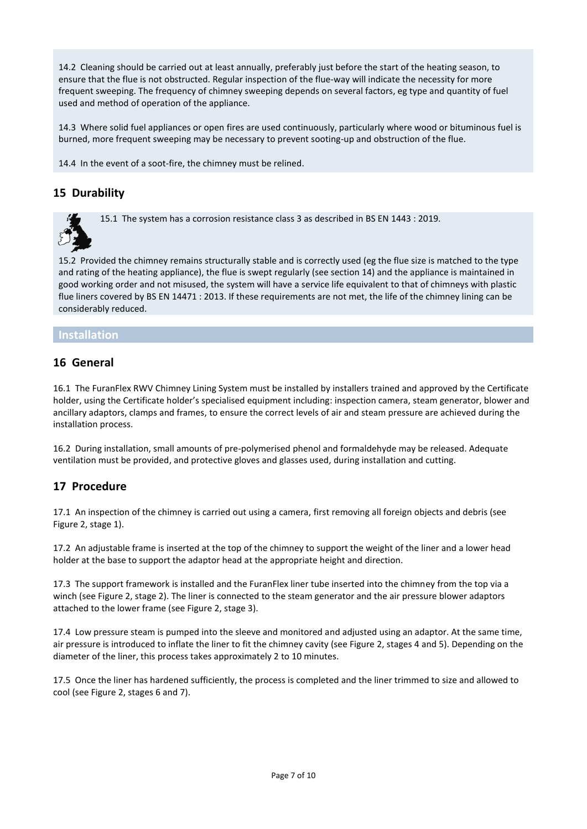14.2 Cleaning should be carried out at least annually, preferably just before the start of the heating season, to ensure that the flue is not obstructed. Regular inspection of the flue-way will indicate the necessity for more frequent sweeping. The frequency of chimney sweeping depends on several factors, eg type and quantity of fuel used and method of operation of the appliance.

14.3 Where solid fuel appliances or open fires are used continuously, particularly where wood or bituminous fuel is burned, more frequent sweeping may be necessary to prevent sooting-up and obstruction of the flue.

14.4 In the event of a soot-fire, the chimney must be relined.

### **15 Durability**

15.1 The system has a corrosion resistance class 3 as described in BS EN 1443 : 2019.

15.2 Provided the chimney remains structurally stable and is correctly used (eg the flue size is matched to the type and rating of the heating appliance), the flue is swept regularly (see section 14) and the appliance is maintained in good working order and not misused, the system will have a service life equivalent to that of chimneys with plastic flue liners covered by BS EN 14471 : 2013. If these requirements are not met, the life of the chimney lining can be considerably reduced.

#### **Installation**

#### **16 General**

16.1 The FuranFlex RWV Chimney Lining System must be installed by installers trained and approved by the Certificate holder, using the Certificate holder's specialised equipment including: inspection camera, steam generator, blower and ancillary adaptors, clamps and frames, to ensure the correct levels of air and steam pressure are achieved during the installation process.

16.2 During installation, small amounts of pre-polymerised phenol and formaldehyde may be released. Adequate ventilation must be provided, and protective gloves and glasses used, during installation and cutting.

### **17 Procedure**

17.1 An inspection of the chimney is carried out using a camera, first removing all foreign objects and debris (see Figure 2, stage 1).

17.2 An adjustable frame is inserted at the top of the chimney to support the weight of the liner and a lower head holder at the base to support the adaptor head at the appropriate height and direction.

17.3 The support framework is installed and the FuranFlex liner tube inserted into the chimney from the top via a winch (see Figure 2, stage 2). The liner is connected to the steam generator and the air pressure blower adaptors attached to the lower frame (see Figure 2, stage 3).

17.4 Low pressure steam is pumped into the sleeve and monitored and adjusted using an adaptor. At the same time, air pressure is introduced to inflate the liner to fit the chimney cavity (see Figure 2, stages 4 and 5). Depending on the diameter of the liner, this process takes approximately 2 to 10 minutes.

17.5 Once the liner has hardened sufficiently, the process is completed and the liner trimmed to size and allowed to cool (see Figure 2, stages 6 and 7).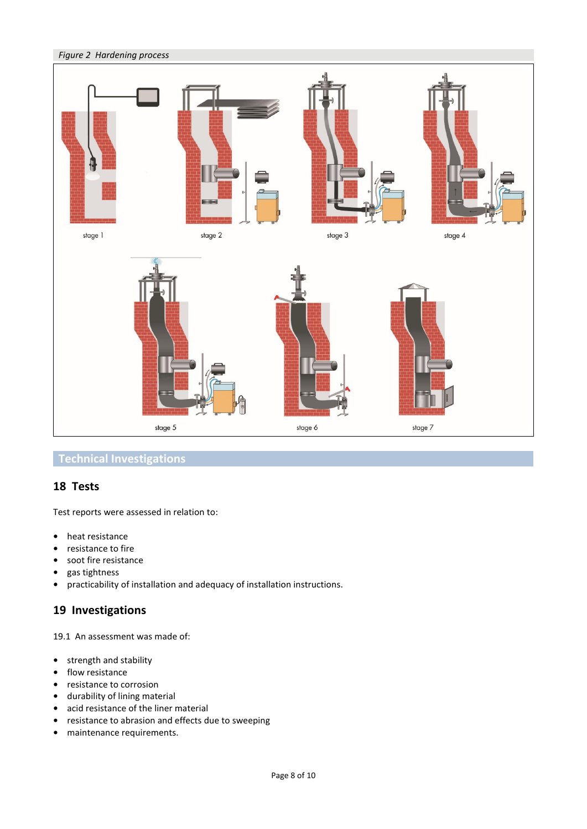

# **Technical Investigations**

### **18 Tests**

Test reports were assessed in relation to:

- **•** heat resistance
- **•** resistance to fire
- **•** soot fire resistance
- **•** gas tightness
- **•** practicability of installation and adequacy of installation instructions.

# **19 Investigations**

19.1 An assessment was made of:

- **•** strength and stability
- **•** flow resistance
- **•** resistance to corrosion
- **•** durability of lining material
- **•** acid resistance of the liner material
- **•** resistance to abrasion and effects due to sweeping
- **•** maintenance requirements.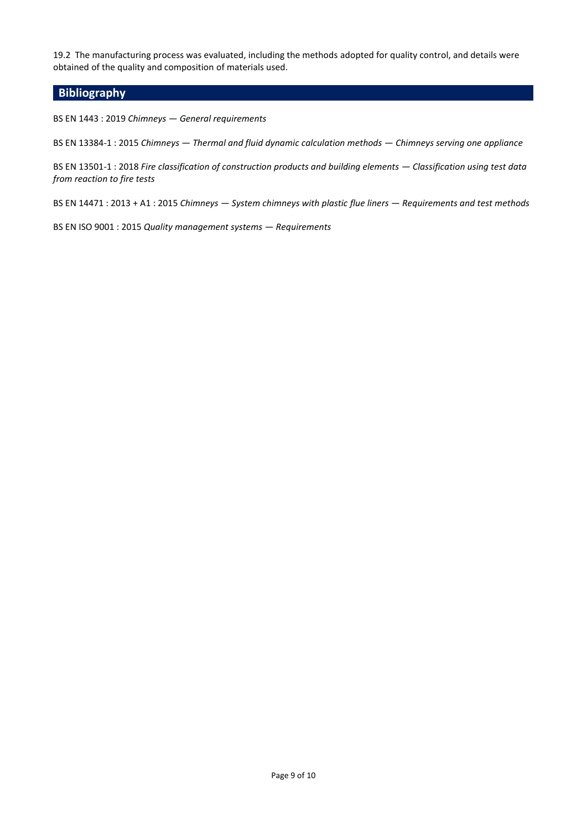19.2 The manufacturing process was evaluated, including the methods adopted for quality control, and details were obtained of the quality and composition of materials used.

### **Bibliography**

BS EN 1443 : 2019 *Chimneys — General requirements*

BS EN 13384-1 : 2015 *Chimneys — Thermal and fluid dynamic calculation methods — Chimneys serving one appliance*

BS EN 13501-1 : 2018 *Fire classification of construction products and building elements — Classification using test data from reaction to fire tests*

BS EN 14471 : 2013 + A1 : 2015 *Chimneys — System chimneys with plastic flue liners — Requirements and test methods*

BS EN ISO 9001 : 2015 *Quality management systems — Requirements*